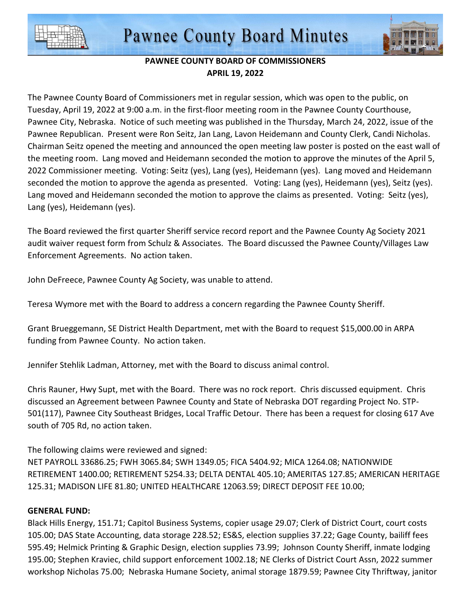



## **PAWNEE COUNTY BOARD OF COMMISSIONERS APRIL 19, 2022**

The Pawnee County Board of Commissioners met in regular session, which was open to the public, on Tuesday, April 19, 2022 at 9:00 a.m. in the first-floor meeting room in the Pawnee County Courthouse, Pawnee City, Nebraska. Notice of such meeting was published in the Thursday, March 24, 2022, issue of the Pawnee Republican. Present were Ron Seitz, Jan Lang, Lavon Heidemann and County Clerk, Candi Nicholas. Chairman Seitz opened the meeting and announced the open meeting law poster is posted on the east wall of the meeting room. Lang moved and Heidemann seconded the motion to approve the minutes of the April 5, 2022 Commissioner meeting. Voting: Seitz (yes), Lang (yes), Heidemann (yes). Lang moved and Heidemann seconded the motion to approve the agenda as presented. Voting: Lang (yes), Heidemann (yes), Seitz (yes). Lang moved and Heidemann seconded the motion to approve the claims as presented. Voting: Seitz (yes), Lang (yes), Heidemann (yes).

The Board reviewed the first quarter Sheriff service record report and the Pawnee County Ag Society 2021 audit waiver request form from Schulz & Associates. The Board discussed the Pawnee County/Villages Law Enforcement Agreements. No action taken.

John DeFreece, Pawnee County Ag Society, was unable to attend.

Teresa Wymore met with the Board to address a concern regarding the Pawnee County Sheriff.

Grant Brueggemann, SE District Health Department, met with the Board to request \$15,000.00 in ARPA funding from Pawnee County. No action taken.

Jennifer Stehlik Ladman, Attorney, met with the Board to discuss animal control.

Chris Rauner, Hwy Supt, met with the Board. There was no rock report. Chris discussed equipment. Chris discussed an Agreement between Pawnee County and State of Nebraska DOT regarding Project No. STP-501(117), Pawnee City Southeast Bridges, Local Traffic Detour. There has been a request for closing 617 Ave south of 705 Rd, no action taken.

The following claims were reviewed and signed:

NET PAYROLL 33686.25; FWH 3065.84; SWH 1349.05; FICA 5404.92; MICA 1264.08; NATIONWIDE RETIREMENT 1400.00; RETIREMENT 5254.33; DELTA DENTAL 405.10; AMERITAS 127.85; AMERICAN HERITAGE 125.31; MADISON LIFE 81.80; UNITED HEALTHCARE 12063.59; DIRECT DEPOSIT FEE 10.00;

## **GENERAL FUND:**

Black Hills Energy, 151.71; Capitol Business Systems, copier usage 29.07; Clerk of District Court, court costs 105.00; DAS State Accounting, data storage 228.52; ES&S, election supplies 37.22; Gage County, bailiff fees 595.49; Helmick Printing & Graphic Design, election supplies 73.99; Johnson County Sheriff, inmate lodging 195.00; Stephen Kraviec, child support enforcement 1002.18; NE Clerks of District Court Assn, 2022 summer workshop Nicholas 75.00; Nebraska Humane Society, animal storage 1879.59; Pawnee City Thriftway, janitor